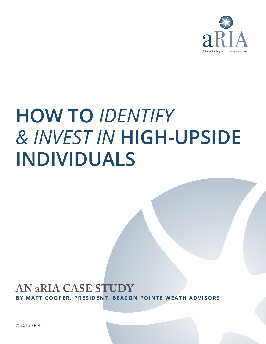

# **How To** *Identify & Invest In* **High-Upside Individuals**

### **An aRIA Case Study by Matt Cooper, president, Beacon pointe weath advisors**

© 2013 aRIA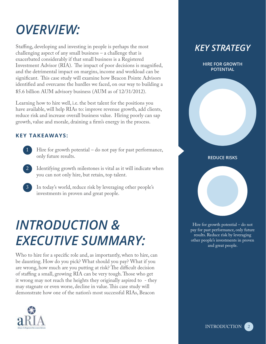# *OVERVIEW:*

Staffing, developing and investing in people is perhaps the most challenging aspect of any small business – a challenge that is exacerbated considerably if that small business is a Registered Investment Advisor (RIA). The impact of poor decisions is magnified, and the detrimental impact on margins, income and workload can be significant. This case study will examine how Beacon Pointe Advisors identified and overcame the hurdles we faced, on our way to building a \$5.6 billion AUM advisory business (AUM as of 12/31/2012).

Learning how to hire well, i.e. the best talent for the positions you have available, will help RIAs to: improve revenue growth, add clients, reduce risk and increase overall business value. Hiring poorly can sap growth, value and morale, draining a firm's energy in the process.

### **Key Takeaways:**

- Hire for growth potential do not pay for past performance, only future results.
- Identifying growth milestones is vital as it will indicate when you can not only hire, but retain, top talent.
- In today's world, reduce risk by leveraging other people's investments in proven and great people.

### *Introduction & Executive Summary:*

Who to hire for a specific role and, as importantly, when to hire, can be daunting. How do you pick? What should you pay? What if you are wrong, how much are you putting at risk? The difficult decision of staffing a small, growing RIA can be very tough. Those who get it wrong may not reach the heights they originally aspired to - they may stagnate or even worse, decline in value. This case study will demonstrate how one of the nation's most successful RIAs, Beacon



### *KEY STRATEGY*

**HIRE FOR GROWTH POTENTIAL**

**REDUCE RISKS**

Hire for growth potential – do not pay for past performance, only future results. Reduce risk by leveraging other people's investments in proven and great people.

> 2 INTRODUCTION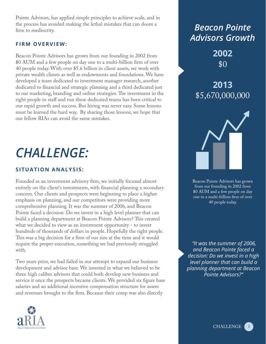Pointe Advisors, has applied simple principles to achieve scale, and in the process has avoided making the lethal mistakes that can doom a firm to mediocrity.

#### **Firm Overview:**

Beacon Pointe Advisors has grown from our founding in 2002 from \$0 AUM and a few people on day one to a multi-billion firm of over 40 people today. With over \$5.6 billion in client assets, we work with private wealth clients as well as endowments and foundations. We have developed a team dedicated to investment manager research, another dedicated to financial and strategic planning and a third dedicated just to our marketing, branding and online strategies. The investment in the right people to staff and run these dedicated teams has been critical to our rapid growth and success. But hiring was never easy. Some lessons must be learned the hard way. By sharing those lessons, we hope that our fellow RIAs can avoid the same mistakes.

### *Challenge:*

#### **Situation Analysis:**

Founded as an investment advisory firm, we initially focused almost entirely on the client's investments, with financial planning a secondary concern. Our clients and prospects were beginning to place a higher emphasis on planning, and our competitors were providing more comprehensive planning. It was the summer of 2006, and Beacon Pointe faced a decision: Do we invest in a high level planner that can build a planning department at Beacon Pointe Advisors? This created what we decided to view as an investment opportunity - to invest hundreds of thousands of dollars in people. Hopefully the right people. This was a big decision for a firm of our size at the time and it would require the proper execution, something we had previously struggled with.

Two years prior, we had failed in our attempt to expand our business development and advisor base. We invested in what we believed to be three high caliber advisors that could both develop new business and service it once the prospects became clients. We provided six figure base salaries and an additional incentive compensation structure for assets and revenues brought to the firm. Because their comp was also directly





**2002**   $$0$ 

**2013**  \$5,670,000,000



Beacon Pointe Advisors has grown from our founding in 2002 from \$0 AUM and a few people on day one to a multi-billion firm of over 40 people today.

 *"It was the summer of 2006, and Beacon Pointe faced a decision: Do we invest in a high level planner that can build a planning department at Beacon Pointe Advisors?"*

> 3 **CHALLENGE**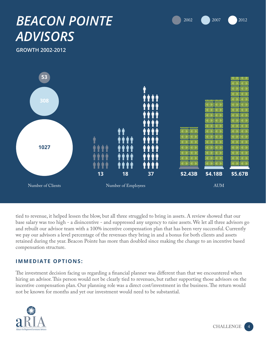

4



**growth 2002-2012**



tied to revenue, it helped lessen the blow, but all three struggled to bring in assets. A review showed that our base salary was too high - a disincentive - and suppressed any urgency to raise assets. We let all three advisors go and rebuilt our advisor team with a 100% incentive compensation plan that has been very successful. Currently we pay our advisors a level percentage of the revenues they bring in and a bonus for both clients and assets retained during the year. Beacon Pointe has more than doubled since making the change to an incentive based compensation structure.

#### **Immediate Options:**

The investment decision facing us regarding a financial planner was different than that we encountered when hiring an advisor. This person would not be clearly tied to revenues, but rather supporting those advisors on the incentive compensation plan. Our planning role was a direct cost/investment in the business. The return would not be known for months and yet our investment would need to be substantial.

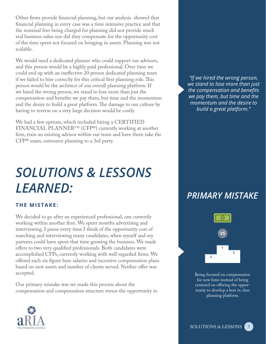Other firms provide financial planning, but our analysis showed that financial planning in every case was a time intensive practice and that the nominal fees being charged for planning did not provide much real business value nor did they compensate for the opportunity cost of the time spent not focused on bringing in assets. Planning was not scalable.

We would need a dedicated planner who could support our advisors, and this person would be a highly paid professional. Over time we could end up with an ineffective 20 person dedicated planning team if we failed to hire correctly for this critical first planning role. This person would be the architect of our overall planning platform. If we hired the wrong person, we stand to lose more than just the compensation and benefits we pay them, but time and the momentum and the desire to build a great platform. The damage to our culture by having to reverse on a very large decision would be costly.

We had a few options, which included hiring a CERTIFIED FINANCIAL PLANNER™ (CFP®) currently working at another firm, train an existing advisor within our team and have them take the CFP® exam, outsource planning to a 3rd party.

### *Solutions & Lessons Learned:*

#### **The Mistake:**

We decided to go after an experienced professional, one currently working within another firm. We spent months advertising and interviewing. I pause every time I think of the opportunity cost of searching and interviewing many candidates, when myself and my partners could have spent that time growing the business. We made offers to two very qualified professionals. Both candidates were accomplished CFPs, currently working with well regarded firms. We offered each six figure base salaries and incentive compensation plans based on new assets and number of clients served. Neither offer was accepted.

Our primary mistake was we made this process about the compensation and compensation structure versus the opportunity to



*PRIMARY MISTAKE*



Being focused on compensation for new hires instead of being centered on offering the opportunity to develop a best in class planning platform.

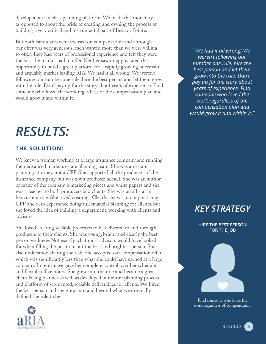develop a best in class planning platform. We made this monetary as opposed to about the pride of creating and owning the process of building a very critical and instrumental part of Beacon Pointe.

But both candidates were focused on compensation and although our offer was very generous, each wanted more than we were willing to offer. They had years of professional experience and felt they were the best the market had to offer. Neither saw or appreciated the opportunity to build a great platform for a rapidly growing, successful and arguably market leading RIA. We had it all wrong! We weren't following our number one rule, hire the best person and let them grow into the role. Don't pay up for the story about years of experience. Find someone who loved the work regardless of the compensation plan and would grow it and within it.

### *Results:*

### **The Solution:**

We knew a woman working at a large insurance company and running their advanced markets estate planning team. She was an estate planning attorney, not a CFP. She supported all the producers of the insurance company, but was not a producer herself. She was an author of many of the company's marketing pieces and white papers and she was a teacher to both producers and clients. She was an all star in her current role. She loved creating. Clearly she was not a practicing CFP and zero experience doing full financial planning for clients, but she loved the idea of building a department, working with clients and advisors.

She loved creating scalable processes to be delivered to and through producers to their clients. She was young, bright and clearly the best person we knew. Not exactly what most advisors would have looked for when filling the position, but the best and brightest person. She also understood sharing the risk. She accepted our compensation offer which was significantly less than what she could have earned at a large company. In return, we gave her complete control over her schedule and flexible office hours. She grew into the role and became a great client facing planner as well as developed our entire planning process and platform of segmented, scalable deliverables for clients. We hired the best person and she grew into and beyond what we originally defined the role to be.



*"We had it all wrong! We weren't following our number one rule, hire the best person and let them grow into the role. Don't pay up for the story about years of experience. Find someone who loved the work regardless of the compensation plan and would grow it and within it."*

### *KEY STRATEGY*

**Hire the best person for the job**



Find someone who loves the work regardless of compensation.

> 6 RESULTS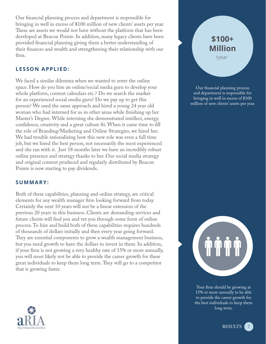Our financial planning process and department is responsible for bringing in well in excess of \$100 million of new clients' assets per year. These are assets we would not have without the platform that has been developed at Beacon Pointe. In addition, many legacy clients have been provided financial planning giving them a better understanding of their finances and wealth and strengthening their relationship with our firm.

#### **Lesson Applied:**

We faced a similar dilemma when we wanted to enter the online space. How do you hire an online/social media guru to develop your whole platform, content calendars etc.? Do we search the market for an experienced social media guru? Do we pay up to get this person? We used the same approach and hired a young 24 year old woman who had interned for us in other areas while finishing up her Master's Degree. While interning she demonstrated intellect, energy, confidence, creativity and a great culture fit. When it came time to fill the role of Branding/Marketing and Online Strategies, we hired her. We had trouble rationalizing how this new role was even a full time job, but we hired the best person, not necessarily the most experienced and she ran with it. Just 18 months later we have an incredibly robust online presence and strategy thanks to her. Our social media strategy and original content produced and regularly distributed by Beacon Pointe is now starting to pay dividends.

#### **Summary:**

Both of these capabilities, planning and online strategy, are critical elements for any wealth manager firm looking forward from today. Certainly the next 10 years will not be a linear extension of the previous 20 years in this business. Clients are demanding services and future clients will find you and vet you through some form of online process. To hire and build both of these capabilities requires hundreds of thousands of dollars initially and then every year going forward. They are essential components to grow a wealth management business, but you need growth to have the dollars to invest in them. In addition, if your firm is not growing a very healthy rate of 15% or more annually, you will most likely not be able to provide the career growth for these great individuals to keep them long term. They will go to a competitor that is growing faster.

### **\$100+ Million**  /year

Our financial planning process and department is responsible for bringing in well in excess of \$100 million of new clients' assets per year.



Your firm should be growing at 15% or more annually to be able to provide the career growth for the best individuals to keep them long term.

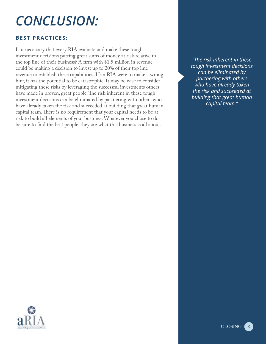# *CONCLUSION:*

#### **BEST PRACTICES:**

Is it necessary that every RIA evaluate and make these tough investment decisions putting great sums of money at risk relative to the top line of their business? A firm with \$1.5 million in revenue could be making a decision to invest up to 20% of their top line revenue to establish these capabilities. If an RIA were to make a wrong hire, it has the potential to be catastrophic. It may be wise to consider mitigating these risks by leveraging the successful investments others have made in proven, great people. The risk inherent in these tough investment decisions can be eliminated by partnering with others who have already taken the risk and succeeded at building that great human capital team. There is no requirement that your capital needs to be at risk to build all elements of your business. Whatever you chose to do, be sure to find the best people, they are what this business is all about.

*"The risk inherent in these tough investment decisions can be eliminated by partnering with others who have already taken the risk and succeeded at building that great human capital team."*